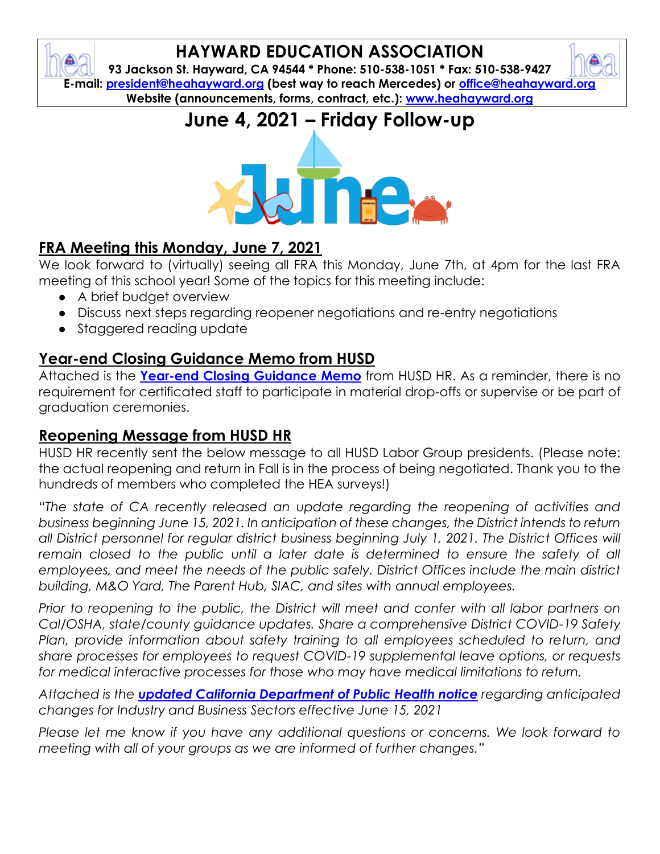### **HAYWARD EDUCATION ASSOCIATION**

**93 Jackson St. Hayward, CA 94544 \* Phone: 510-538-1051 \* Fax: 510-538-9427 E-mail: [president@heahayward.org](mailto:president@heahayward.org) (best way to reach Mercedes) or [office@heahayward.org](mailto:office@heahayward.org) Website (announcements, forms, contract, etc.): [www.heahayward.org](http://www.heahayward.org/)**

# **June 4, 2021 – Friday Follow-up**



## **FRA Meeting this Monday, June 7, 2021**

We look forward to (virtually) seeing all FRA this Monday, June 7th, at 4pm for the last FRA meeting of this school year! Some of the topics for this meeting include:

- A brief budget overview
- Discuss next steps regarding reopener negotiations and re-entry negotiations
- Staggered reading update

#### **Year-end Closing Guidance Memo from HUSD**

Attached is the **[Year-end Closing Guidance Memo](https://drive.google.com/file/d/1CdkiPqB_Bw9ozBVjsxa6JcR44wHG2Jdq/view?usp=sharing)** from HUSD HR. As a reminder, there is no requirement for certificated staff to participate in material drop-offs or supervise or be part of graduation ceremonies.

#### **Reopening Message from HUSD HR**

HUSD HR recently sent the below message to all HUSD Labor Group presidents. (Please note: the actual reopening and return in Fall is in the process of being negotiated. Thank you to the hundreds of members who completed the HEA surveys!)

*"The state of CA recently released an update regarding the reopening of activities and business beginning June 15, 2021. In anticipation of these changes, the District intends to return*  all District personnel for regular district business beginning July 1, 2021. The District Offices will remain closed to the public until a later date is determined to ensure the safety of all *employees, and meet the needs of the public safely. District Offices include the main district building, M&O Yard, The Parent Hub, SIAC, and sites with annual employees.*

*Prior to reopening to the public, the District will meet and confer with all labor partners on Cal/OSHA, state/county guidance updates. Share a comprehensive District COVID-19 Safety*  Plan, provide information about safety training to all employees scheduled to return, and *share processes for employees to request COVID-19 supplemental leave options, or requests for medical interactive processes for those who may have medical limitations to return.*

*Attached is the [updated California Department of Public Health notice](https://drive.google.com/file/d/1KQVAMJE44sMfcWaFtLEgylID62_S8gFP/view?usp=sharing) regarding anticipated changes for Industry and Business Sectors effective June 15, 2021*

*Please let me know if you have any additional questions or concerns. We look forward to meeting with all of your groups as we are informed of further changes."*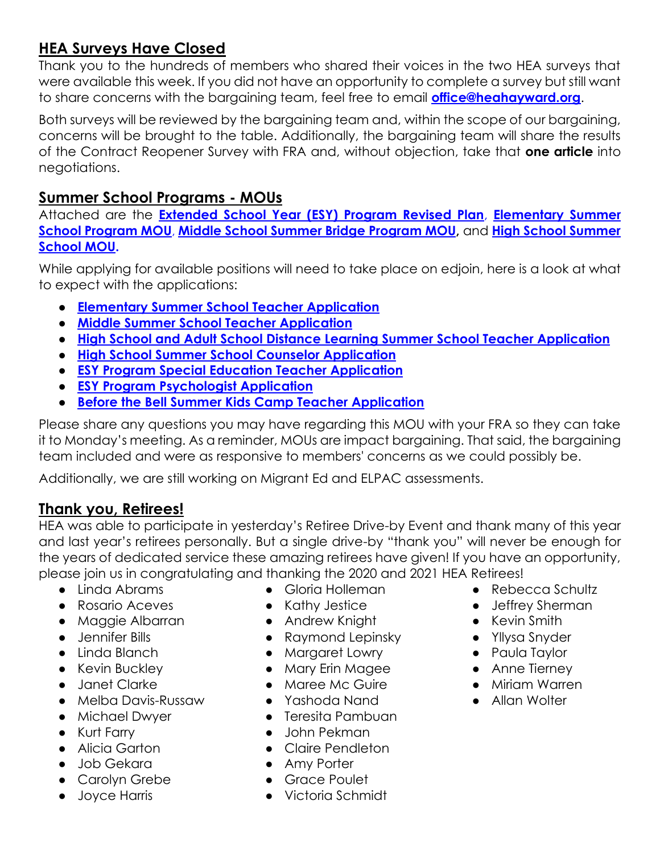#### **HEA Surveys Have Closed**

Thank you to the hundreds of members who shared their voices in the two HEA surveys that were available this week. If you did not have an opportunity to complete a survey but still want to share concerns with the bargaining team, feel free to email **[office@heahayward.org](mailto:office@heahayward.org)**.

Both surveys will be reviewed by the bargaining team and, within the scope of our bargaining, concerns will be brought to the table. Additionally, the bargaining team will share the results of the Contract Reopener Survey with FRA and, without objection, take that **one article** into negotiations.

#### **Summer School Programs - MOUs**

Attached are the **[Extended School Year \(ESY\) Program Revised Plan](https://drive.google.com/file/d/19rl0IDOlHoQYoZPRMkI8qefDTeev1Rm8/view?usp=sharing)**, **[Elementary Summer](https://drive.google.com/file/d/1LBBdq99_NFDhzRv2HAYpzB3mDxtsB42A/view?usp=sharing)  [School Program MOU](https://drive.google.com/file/d/1LBBdq99_NFDhzRv2HAYpzB3mDxtsB42A/view?usp=sharing)**, **[Middle School Summer Bridge Program MOU,](https://drive.google.com/file/d/1yILZjPj5ynniamwaMyegem_GTfwe9C0_/view?usp=sharing)** and **[High School Summer](https://drive.google.com/file/d/1AT7VN7PG0SYl15SzF-0KGUAdeB0LwRxF/view?usp=sharing)  [School MOU.](https://drive.google.com/file/d/1AT7VN7PG0SYl15SzF-0KGUAdeB0LwRxF/view?usp=sharing)**

While applying for available positions will need to take place on edjoin, here is a look at what to expect with the applications:

- **[Elementary Summer School Teacher Application](https://drive.google.com/file/d/1xMs6TJjXwN-Bv-DzQ-77GODQEkDVnL15/view?usp=sharing)**
- **[Middle Summer School Teacher Application](https://drive.google.com/file/d/1GdavpIHr3i1woOqCXLyFja5ta_Svi9l_/view?usp=sharing)**
- **[High School and Adult School Distance Learning Summer School Teacher Application](https://drive.google.com/file/d/1S3k8SnQZ8oKpSUckMy2AVTyRpsRC4hyw/view?usp=sharing)**
- **[High School Summer School Counselor Application](https://drive.google.com/file/d/1RVB462pwA-2l5tLlusqMMW0-0eYGeHoD/view?usp=sharing)**
- **[ESY Program Special Education Teacher Application](https://drive.google.com/file/d/19wCQQ8WzhaUq1NoWK7ySqlBL5sPwVyRu/view?usp=sharing)**
- **[ESY Program Psychologist Application](https://drive.google.com/file/d/1yNtE1kit03-bp3y9Wayc59vIx1JAniO7/view?usp=sharing)**
- **[Before the Bell Summer Kids Camp Teacher Application](https://drive.google.com/file/d/1s7589gSWTtfEyqhmVzpPh-PQoaIA_6lJ/view?usp=sharing)**

Please share any questions you may have regarding this MOU with your FRA so they can take it to Monday's meeting. As a reminder, MOUs are impact bargaining. That said, the bargaining team included and were as responsive to members' concerns as we could possibly be.

Additionally, we are still working on Migrant Ed and ELPAC assessments.

#### **Thank you, Retirees!**

HEA was able to participate in yesterday's Retiree Drive-by Event and thank many of this year and last year's retirees personally. But a single drive-by "thank you" will never be enough for the years of dedicated service these amazing retirees have given! If you have an opportunity, please join us in congratulating and thanking the 2020 and 2021 HEA Retirees!

- Linda Abrams
- Rosario Aceves
- Maggie Albarran
- Jennifer Bills
- Linda Blanch
- Kevin Buckley
- Janet Clarke
- Melba Davis-Russaw
- Michael Dwyer
- Kurt Farry
- Alicia Garton
- Job Gekara
- Carolyn Grebe
- Joyce Harris
- Gloria Holleman
- Kathy Jestice
- Andrew Knight
- Raymond Lepinsky
- Margaret Lowry
- Mary Erin Magee
- Maree Mc Guire
- Yashoda Nand
- Teresita Pambuan
- John Pekman
- Claire Pendleton
- Amy Porter
- Grace Poulet
- Victoria Schmidt
- Rebecca Schultz
- Jeffrey Sherman
- Kevin Smith
- Yllysa Snyder
- Paula Taylor
- Anne Tierney
	- Miriam Warren
	- Allan Wolter